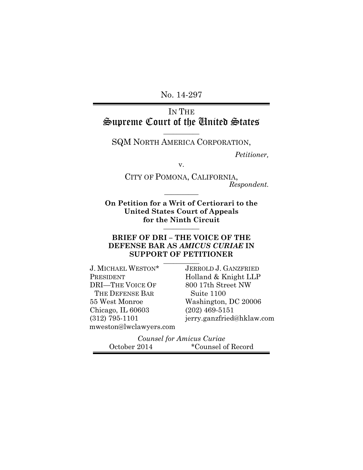No. 14-297

## IN THE Supreme Court of the United States

**\_\_\_\_\_\_\_\_\_\_\_** SQM NORTH AMERICA CORPORATION,

*Petitioner,*

v.

CITY OF POMONA, CALIFORNIA, *Respondent.* **\_\_\_\_\_\_\_\_\_\_**

**On Petition for a Writ of Certiorari to the United States Court of Appeals for the Ninth Circuit \_\_\_\_\_\_\_\_\_\_\_**

### **BRIEF OF DRI – THE VOICE OF THE DEFENSE BAR AS** *AMICUS CURIAE* **IN SUPPORT OF PETITIONER \_\_\_\_\_\_\_\_\_\_\_**

J. MICHAEL WESTON\* PRESIDENT DRI—THE VOICE OF THE DEFENSE BAR 55 West Monroe Chicago, IL 60603 (312) 795-1101 mweston@lwclawyers.com

JERROLD J. GANZFRIED Holland & Knight LLP 800 17th Street NW Suite 1100 Washington, DC 20006 (202) 469-5151 jerry.ganzfried@hklaw.com

*Counsel for Amicus Curiae* October 2014 \*Counsel of Record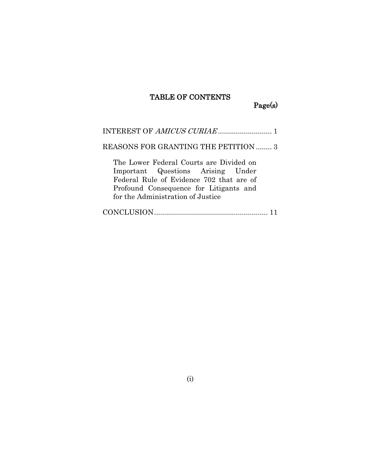# TABLE OF CONTENTS

Page(s)

| REASONS FOR GRANTING THE PETITION  3                                                                                                                                                                    |
|---------------------------------------------------------------------------------------------------------------------------------------------------------------------------------------------------------|
| The Lower Federal Courts are Divided on<br>Important Questions Arising Under<br>Federal Rule of Evidence 702 that are of<br>Profound Consequence for Litigants and<br>for the Administration of Justice |
|                                                                                                                                                                                                         |

(i)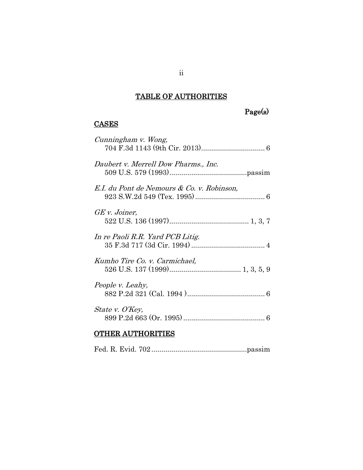# TABLE OF AUTHORITIES

# Page(s)

### **CASES**

| Cunningham v. Wong,                        |  |
|--------------------------------------------|--|
| Daubert v. Merrell Dow Pharms., Inc.       |  |
| E.I. du Pont de Nemours & Co. v. Robinson, |  |
| GE v. Joiner,                              |  |
| In re Paoli R.R. Yard PCB Litig.           |  |
| Kumho Tire Co. v. Carmichael,              |  |
| People v. Leahy,                           |  |
| State v. O'Key,                            |  |
|                                            |  |

## OTHER AUTHORITIES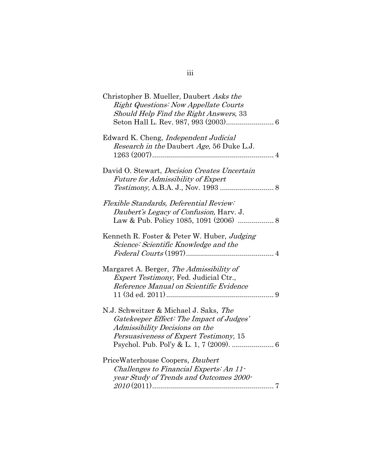| Christopher B. Mueller, Daubert Asks the<br><b>Right Questions: Now Appellate Courts</b><br>Should Help Find the Right Answers, 33                             |  |
|----------------------------------------------------------------------------------------------------------------------------------------------------------------|--|
| Edward K. Cheng, <i>Independent Judicial</i><br>Research in the Daubert Age, 56 Duke L.J.                                                                      |  |
| David O. Stewart, <i>Decision Creates Uncertain</i><br>Future for Admissibility of Expert                                                                      |  |
| Flexible Standards, Deferential Review:<br>Daubert's Legacy of Confusion, Harv. J.                                                                             |  |
| Kenneth R. Foster & Peter W. Huber, Judging<br>Science: Scientific Knowledge and the                                                                           |  |
| Margaret A. Berger, The Admissibility of<br><i>Expert Testimony</i> , Fed. Judicial Ctr.,<br>Reference Manual on Scientific Evidence                           |  |
| N.J. Schweitzer & Michael J. Saks, The<br>Gatekeeper Effect: The Impact of Judges'<br>Admissibility Decisions on the<br>Persuasiveness of Expert Testimony, 15 |  |
| PriceWaterhouse Coopers, Daubert<br>Challenges to Financial Experts: An 11-<br>year Study of Trends and Outcomes 2000-                                         |  |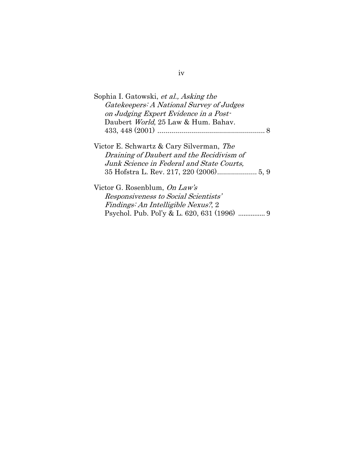| Sophia I. Gatowski, et al., Asking the    |   |
|-------------------------------------------|---|
| Gatekeepers: A National Survey of Judges  |   |
| on Judging Expert Evidence in a Post-     |   |
| Daubert World, 25 Law & Hum. Bahav.       |   |
|                                           | 8 |
|                                           |   |
| Victor E. Schwartz & Cary Silverman, The  |   |
| Draining of Daubert and the Recidivism of |   |
| Junk Science in Federal and State Courts, |   |
|                                           |   |
|                                           |   |
| Victor G. Rosenblum, On Law's             |   |
| Responsiveness to Social Scientists'      |   |
| Findings: An Intelligible Nexus?, 2       |   |
| Psychol. Pub. Pol'y & L. 620, 631 (1996)  | 9 |

## iv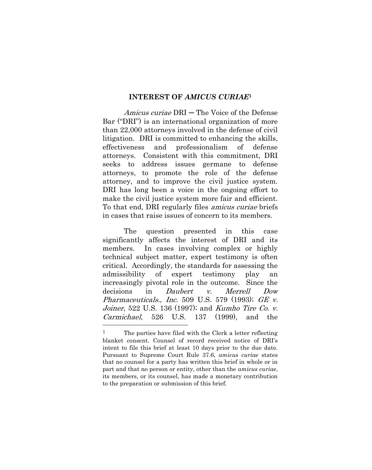#### **INTEREST OF** *AMICUS CURIAE***<sup>1</sup>**

Amicus curiae DRI – The Voice of the Defense Bar ("DRI") is an international organization of more than 22,000 attorneys involved in the defense of civil litigation. DRI is committed to enhancing the skills, effectiveness and professionalism of defense attorneys. Consistent with this commitment, DRI seeks to address issues germane to defense attorneys, to promote the role of the defense attorney, and to improve the civil justice system. DRI has long been a voice in the ongoing effort to make the civil justice system more fair and efficient. To that end, DRI regularly files amicus curiae briefs in cases that raise issues of concern to its members.

The question presented in this case significantly affects the interest of DRI and its members. In cases involving complex or highly technical subject matter, expert testimony is often critical. Accordingly, the standards for assessing the admissibility of expert testimony play an increasingly pivotal role in the outcome. Since the decisions in *Daubert v. Merrell Dow Pharmaceuticals., Inc.* 509 U.S. 579 (1993); GE v. Joiner, 522 U.S. 136 (1997); and Kumho Tire Co. v. Carmichael, 526 U.S. 137 (1999), and the

<span id="page-5-2"></span><span id="page-5-1"></span><span id="page-5-0"></span>

<sup>&</sup>lt;sup>1</sup> The parties have filed with the Clerk a letter reflecting blanket consent. Counsel of record received notice of DRI's intent to file this brief at least 10 days prior to the due date. Pursuant to Supreme Court Rule 37.6, *amicus curiae* states that no counsel for a party has written this brief in whole or in part and that no person or entity, other than the *amicus curiae*, its members, or its counsel, has made a monetary contribution to the preparation or submission of this brief.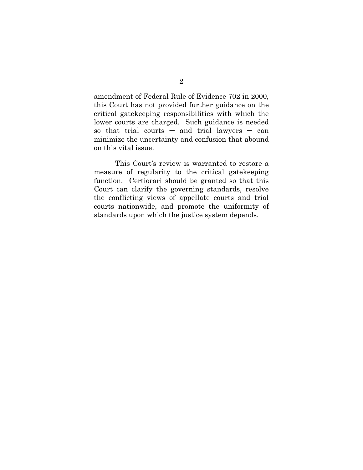amendment of Federal Rule of Evidence 702 in 2000, this Court has not provided further guidance on the critical gatekeeping responsibilities with which the lower courts are charged. Such guidance is needed so that trial courts  $-$  and trial lawyers  $-$  can minimize the uncertainty and confusion that abound on this vital issue.

This Court's review is warranted to restore a measure of regularity to the critical gatekeeping function. Certiorari should be granted so that this Court can clarify the governing standards, resolve the conflicting views of appellate courts and trial courts nationwide, and promote the uniformity of standards upon which the justice system depends.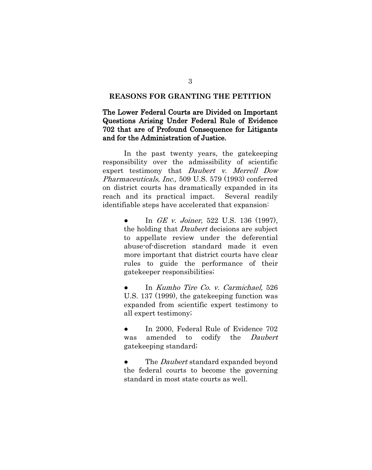### **REASONS FOR GRANTING THE PETITION**

### The Lower Federal Courts are Divided on Important Questions Arising Under Federal Rule of Evidence 702 that are of Profound Consequence for Litigants and for the Administration of Justice.

 In the past twenty years, the gatekeeping responsibility over the admissibility of scientific expert testimony that *Daubert v. Merrell Dow* Pharmaceuticals, Inc., 509 U.S. 579 (1993) conferred on district courts has dramatically expanded in its reach and its practical impact. Several readily identifiable steps have accelerated that expansion:

> <span id="page-7-0"></span>In *GE v. Joiner*, 522 U.S. 136 (1997), the holding that Daubert decisions are subject to appellate review under the deferential abuse-of-discretion standard made it even more important that district courts have clear rules to guide the performance of their gatekeeper responsibilities;

> <span id="page-7-1"></span>In Kumho Tire Co. v. Carmichael, 526 U.S. 137 (1999), the gatekeeping function was expanded from scientific expert testimony to all expert testimony;

> <span id="page-7-2"></span>In 2000, Federal Rule of Evidence 702 was amended to codify the *Daubert* gatekeeping standard;

> The *Daubert* standard expanded beyond the federal courts to become the governing standard in most state courts as well.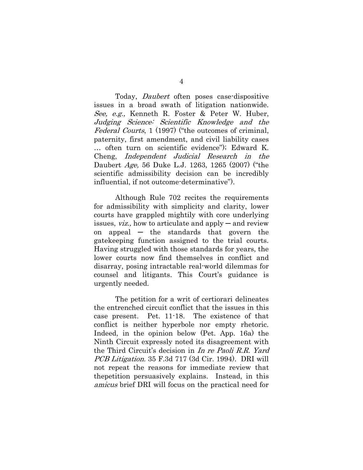<span id="page-8-2"></span> Today, Daubert often poses case-dispositive issues in a broad swath of litigation nationwide. See, e.g., Kenneth R. Foster & Peter W. Huber, Judging Science: Scientific Knowledge and the Federal Courts, 1 (1997) ("the outcomes of criminal, paternity, first amendment, and civil liability cases … often turn on scientific evidence"); Edward K. Cheng, Independent Judicial Research in the Daubert Age, 56 Duke L.J. 1263, 1265 (2007) ("the scientific admissibility decision can be incredibly influential, if not outcome-determinative").

<span id="page-8-1"></span>Although Rule 702 recites the requirements for admissibility with simplicity and clarity, lower courts have grappled mightily with core underlying issues, *viz.*, how to articulate and apply  $-\text{and review}$ on appeal  $-$  the standards that govern the gatekeeping function assigned to the trial courts. Having struggled with those standards for years, the lower courts now find themselves in conflict and disarray, posing intractable real-world dilemmas for counsel and litigants. This Court's guidance is urgently needed.

<span id="page-8-0"></span>The petition for a writ of certiorari delineates the entrenched circuit conflict that the issues in this case present. Pet. 11-18. The existence of that conflict is neither hyperbole nor empty rhetoric. Indeed, in the opinion below (Pet. App. 16a) the Ninth Circuit expressly noted its disagreement with the Third Circuit's decision in In re Paoli R.R. Yard PCB Litigation. 35 F.3d 717 (3d Cir. 1994). DRI will not repeat the reasons for immediate review that thepetition persuasively explains. Instead, in this amicus brief DRI will focus on the practical need for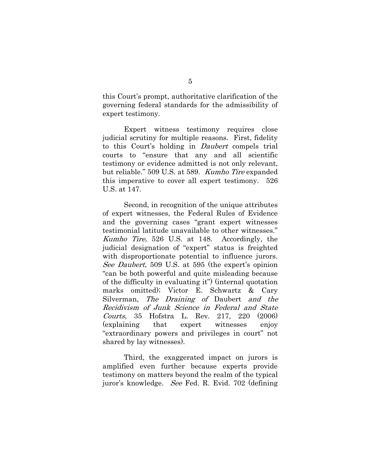this Court's prompt, authoritative clarification of the governing federal standards for the admissibility of expert testimony.

Expert witness testimony requires close judicial scrutiny for multiple reasons. First, fidelity to this Court's holding in Daubert compels trial courts to "ensure that any and all scientific testimony or evidence admitted is not only relevant, but reliable." 509 U.S. at 589. Kumho Tire expanded this imperative to cover all expert testimony. 526 U.S. at 147.

<span id="page-9-0"></span>Second, in recognition of the unique attributes of expert witnesses, the Federal Rules of Evidence and the governing cases "grant expert witnesses testimonial latitude unavailable to other witnesses." Kumho Tire, 526 U.S. at 148. Accordingly, the judicial designation of "expert" status is freighted with disproportionate potential to influence jurors. See Daubert, 509 U.S. at 595 (the expert's opinion "can be both powerful and quite misleading because of the difficulty in evaluating it") (internal quotation marks omitted); Victor E. Schwartz & Cary Silverman, The Draining of Daubert and the Recidivism of Junk Science in Federal and State Courts, 35 Hofstra L. Rev. 217, 220 (2006) (explaining that expert witnesses enjoy "extraordinary powers and privileges in court" not shared by lay witnesses).

<span id="page-9-1"></span>Third, the exaggerated impact on jurors is amplified even further because experts provide testimony on matters beyond the realm of the typical juror's knowledge. See Fed. R. Evid. 702 (defining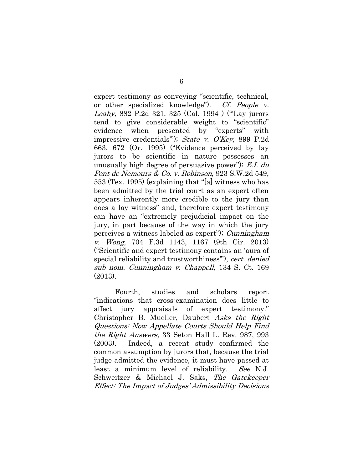<span id="page-10-3"></span><span id="page-10-2"></span><span id="page-10-1"></span>expert testimony as conveying "scientific, technical, or other specialized knowledge"). Cf. People v. Leahy, 882 P.2d 321, 325 (Cal. 1994) ("Lay jurors" tend to give considerable weight to "scientific" evidence when presented by "experts" with impressive credentials'"); State v. O'Key, 899 P.2d 663, 672 (Or. 1995) ("Evidence perceived by lay jurors to be scientific in nature possesses an unusually high degree of persuasive power"); E.I. du Pont de Nemours & Co. v. Robinson, 923 S.W.2d 549, 553 (Tex. 1995) (explaining that "[a] witness who has been admitted by the trial court as an expert often appears inherently more credible to the jury than does a lay witness" and, therefore expert testimony can have an "extremely prejudicial impact on the jury, in part because of the way in which the jury perceives a witness labeled as expert"); Cunningham v. Wong, 704 F.3d 1143, 1167 (9th Cir. 2013) ("Scientific and expert testimony contains an 'aura of special reliability and trustworthiness"), cert. denied sub nom. Cunningham v. Chappell, 134 S. Ct. 169 (2013).

<span id="page-10-5"></span><span id="page-10-4"></span><span id="page-10-0"></span>Fourth, studies and scholars report "indications that cross-examination does little to affect jury appraisals of expert testimony." Christopher B. Mueller, Daubert Asks the Right Questions: Now Appellate Courts Should Help Find the Right Answers, 33 Seton Hall L. Rev. 987, 993 (2003). Indeed, a recent study confirmed the common assumption by jurors that, because the trial judge admitted the evidence, it must have passed at least a minimum level of reliability. See N.J. Schweitzer & Michael J. Saks, The Gatekeeper Effect: The Impact of Judges' Admissibility Decisions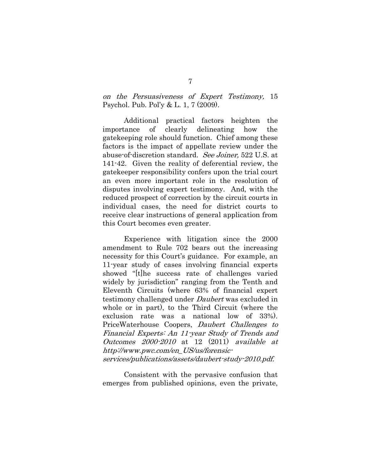on the Persuasiveness of Expert Testimony, 15 Psychol. Pub. Pol'y & L. 1, 7 (2009).

<span id="page-11-0"></span>Additional practical factors heighten the importance of clearly delineating how the gatekeeping role should function. Chief among these factors is the impact of appellate review under the abuse-of-discretion standard. See Joiner, 522 U.S. at 141-42. Given the reality of deferential review, the gatekeeper responsibility confers upon the trial court an even more important role in the resolution of disputes involving expert testimony. And, with the reduced prospect of correction by the circuit courts in individual cases, the need for district courts to receive clear instructions of general application from this Court becomes even greater.

Experience with litigation since the 2000 amendment to Rule 702 bears out the increasing necessity for this Court's guidance. For example, an 11-year study of cases involving financial experts showed "[t]he success rate of challenges varied widely by jurisdiction" ranging from the Tenth and Eleventh Circuits (where 63% of financial expert testimony challenged under Daubert was excluded in whole or in part), to the Third Circuit (where the exclusion rate was a national low of 33%). PriceWaterhouse Coopers, Daubert Challenges to Financial Experts: An 11-year Study of Trends and Outcomes 2000-2010 at 12 (2011) available at http://www.pwc.com/en\_US/us/forensicservices/publications/assets/daubert-study-2010.pdf.

<span id="page-11-1"></span>Consistent with the pervasive confusion that emerges from published opinions, even the private,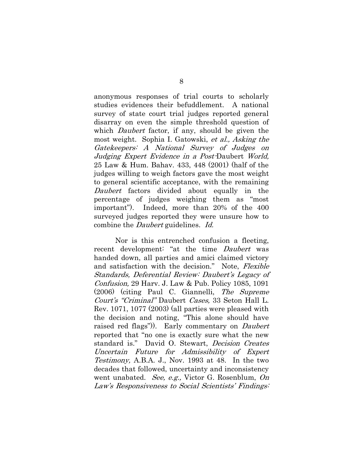<span id="page-12-2"></span>anonymous responses of trial courts to scholarly studies evidences their befuddlement. A national survey of state court trial judges reported general disarray on even the simple threshold question of which *Daubert* factor, if any, should be given the most weight. Sophia I. Gatowski, et al., Asking the Gatekeepers: A National Survey of Judges on Judging Expert Evidence in a Post-Daubert World, 25 Law & Hum. Bahav. 433, 448 (2001) (half of the judges willing to weigh factors gave the most weight to general scientific acceptance, with the remaining Daubert factors divided about equally in the percentage of judges weighing them as "most important"). Indeed, more than 20% of the 400 surveyed judges reported they were unsure how to combine the Daubert guidelines. Id.

<span id="page-12-3"></span><span id="page-12-1"></span><span id="page-12-0"></span>Nor is this entrenched confusion a fleeting, recent development: "at the time *Daubert* was handed down, all parties and amici claimed victory and satisfaction with the decision." Note, Flexible Standards, Deferential Review: Daubert's Legacy of Confusion, 29 Harv. J. Law & Pub. Policy 1085, 1091 (2006) (citing Paul C. Giannelli, The Supreme Court's "Criminal" Daubert Cases, 33 Seton Hall L. Rev. 1071, 1077 (2003) (all parties were pleased with the decision and noting, "This alone should have raised red flags")). Early commentary on *Daubert* reported that "no one is exactly sure what the new standard is." David O. Stewart, Decision Creates Uncertain Future for Admissibility of Expert Testimony, A.B.A. J., Nov. 1993 at 48. In the two decades that followed, uncertainty and inconsistency went unabated. See, e.g., Victor G. Rosenblum, On Law's Responsiveness to Social Scientists' Findings: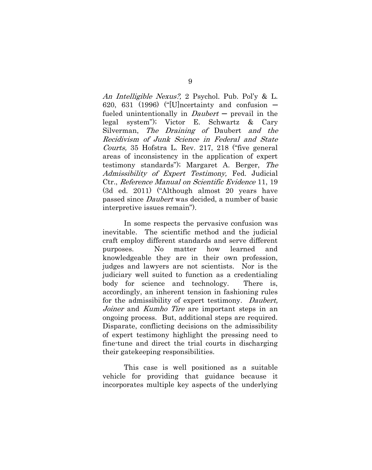<span id="page-13-2"></span>An Intelligible Nexus?, 2 Psychol. Pub. Pol'y & L. 620, 631 (1996) ("[U]ncertainty and confusion  $$ fueled unintentionally in  $Daubert$  - prevail in the legal system"); Victor E. Schwartz & Cary Silverman, The Draining of Daubert and the Recidivism of Junk Science in Federal and State Courts, 35 Hofstra L. Rev. 217, 218 ("five general areas of inconsistency in the application of expert testimony standards"); Margaret A. Berger, The Admissibility of Expert Testimony, Fed. Judicial Ctr., Reference Manual on Scientific Evidence 11, 19 (3d ed. 2011) ("Although almost 20 years have passed since Daubert was decided, a number of basic interpretive issues remain").

<span id="page-13-1"></span>In some respects the pervasive confusion was inevitable. The scientific method and the judicial craft employ different standards and serve different purposes. No matter how learned and knowledgeable they are in their own profession, judges and lawyers are not scientists. Nor is the judiciary well suited to function as a credentialing body for science and technology. There is, accordingly, an inherent tension in fashioning rules for the admissibility of expert testimony. Daubert, Joiner and Kumho Tire are important steps in an ongoing process. But, additional steps are required. Disparate, conflicting decisions on the admissibility of expert testimony highlight the pressing need to fine-tune and direct the trial courts in discharging their gatekeeping responsibilities.

<span id="page-13-0"></span>This case is well positioned as a suitable vehicle for providing that guidance because it incorporates multiple key aspects of the underlying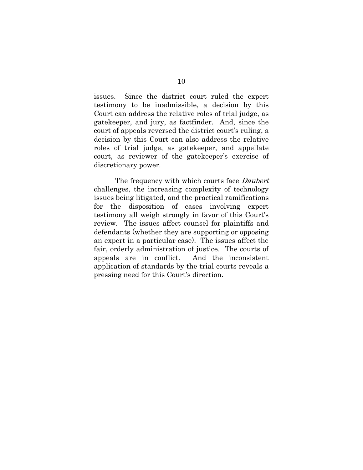issues. Since the district court ruled the expert testimony to be inadmissible, a decision by this Court can address the relative roles of trial judge, as gatekeeper, and jury, as factfinder. And, since the court of appeals reversed the district court's ruling, a decision by this Court can also address the relative roles of trial judge, as gatekeeper, and appellate court, as reviewer of the gatekeeper's exercise of discretionary power.

The frequency with which courts face *Daubert* challenges, the increasing complexity of technology issues being litigated, and the practical ramifications for the disposition of cases involving expert testimony all weigh strongly in favor of this Court's review. The issues affect counsel for plaintiffs and defendants (whether they are supporting or opposing an expert in a particular case). The issues affect the fair, orderly administration of justice. The courts of appeals are in conflict. And the inconsistent application of standards by the trial courts reveals a pressing need for this Court's direction.